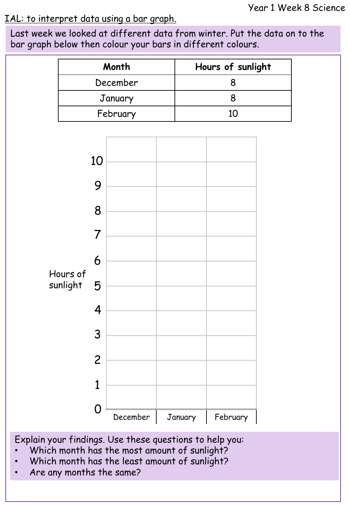## IAL: to interpret data using a bar graph.

Last week we looked at different data from winter. Put the data on to the bar graph below then colour your bars in different colours.

| Month    | Hours of sunlight |
|----------|-------------------|
| December |                   |
| January  |                   |
| February | 1Ο                |



Explain your findings. Use these questions to help you:

- Which month has the most amount of sunlight?
- Which month has the least amount of sunlight?
- Are any months the same?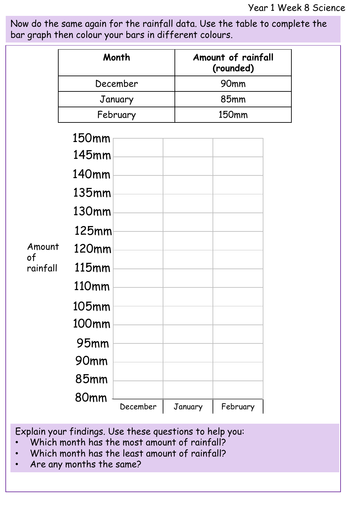Now do the same again for the rainfall data. Use the table to complete the bar graph then colour your bars in different colours.

|                          |                     | Month    |  |              | Amount of rainfall<br>(rounded) |  |
|--------------------------|---------------------|----------|--|--------------|---------------------------------|--|
|                          | December<br>January |          |  | 90mm<br>85mm |                                 |  |
|                          |                     |          |  |              |                                 |  |
|                          | February            |          |  | 150mm        |                                 |  |
|                          | 150mm               |          |  |              |                                 |  |
|                          | 145mm               |          |  |              |                                 |  |
|                          | 140 <sub>mm</sub>   |          |  |              |                                 |  |
|                          | $135$ mm            |          |  |              |                                 |  |
|                          | 130mm               |          |  |              |                                 |  |
| Amount<br>of<br>rainfall | <b>125mm</b>        |          |  |              |                                 |  |
|                          | 120mm               |          |  |              |                                 |  |
|                          | 115mm               |          |  |              |                                 |  |
|                          | 110mm               |          |  |              |                                 |  |
|                          | 105mm               |          |  |              |                                 |  |
|                          | 100mm               |          |  |              |                                 |  |
|                          | <b>95mm</b>         |          |  |              |                                 |  |
|                          | 90mm                |          |  |              |                                 |  |
|                          | 85mm                |          |  |              |                                 |  |
|                          | 80mm                | December |  | January      | February                        |  |

Explain your findings. Use these questions to help you:

- Which month has the most amount of rainfall?
- Which month has the least amount of rainfall?
- Are any months the same?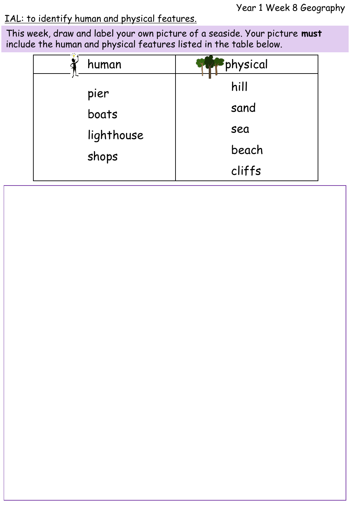Year 1 Week 8 Geography

## IAL: to identify human and physical features.

This week, draw and label your own picture of a seaside. Your picture **must** include the human and physical features listed in the table below.

| human      | physical |
|------------|----------|
| pier       | hill     |
| boats      | sand     |
| lighthouse | sea      |
| shops      | beach    |
|            | cliffs   |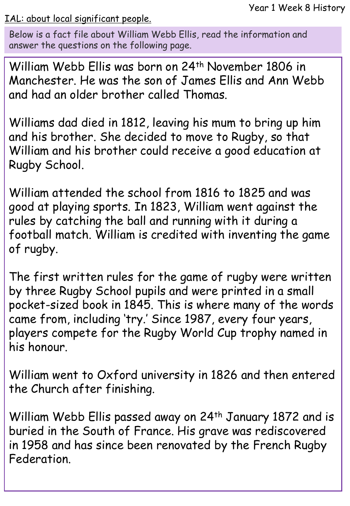IAL: about local significant people.

Below is a fact file about William Webb Ellis, read the information and answer the questions on the following page.

William Webb Ellis was born on 24<sup>th</sup> November 1806 in Manchester. He was the son of James Ellis and Ann Webb and had an older brother called Thomas.

Williams dad died in 1812, leaving his mum to bring up him and his brother. She decided to move to Rugby, so that William and his brother could receive a good education at Rugby School.

William attended the school from 1816 to 1825 and was good at playing sports. In 1823, William went against the rules by catching the ball and running with it during a football match. William is credited with inventing the game of rugby.

The first written rules for the game of rugby were written by three Rugby School pupils and were printed in a small pocket-sized book in 1845. This is where many of the words came from, including 'try.' Since 1987, every four years, players compete for the Rugby World Cup trophy named in his honour.

William went to Oxford university in 1826 and then entered the Church after finishing.

William Webb Ellis passed away on 24<sup>th</sup> January 1872 and is buried in the South of France. His grave was rediscovered in 1958 and has since been renovated by the French Rugby Federation.